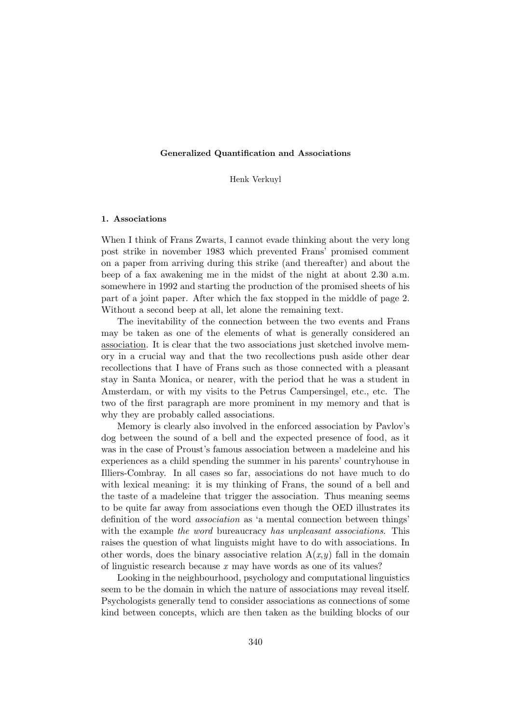#### Generalized Quantification and Associations

Henk Verkuyl

#### 1. Associations

When I think of Frans Zwarts, I cannot evade thinking about the very long post strike in november 1983 which prevented Frans' promised comment on a paper from arriving during this strike (and thereafter) and about the beep of a fax awakening me in the midst of the night at about 2.30 a.m. somewhere in 1992 and starting the production of the promised sheets of his part of a joint paper. After which the fax stopped in the middle of page 2. Without a second beep at all, let alone the remaining text.

The inevitability of the connection between the two events and Frans may be taken as one of the elements of what is generally considered an association. It is clear that the two associations just sketched involve memory in a crucial way and that the two recollections push aside other dear recollections that I have of Frans such as those connected with a pleasant stay in Santa Monica, or nearer, with the period that he was a student in Amsterdam, or with my visits to the Petrus Campersingel, etc., etc. The two of the first paragraph are more prominent in my memory and that is why they are probably called associations.

Memory is clearly also involved in the enforced association by Pavlov's dog between the sound of a bell and the expected presence of food, as it was in the case of Proust's famous association between a madeleine and his experiences as a child spending the summer in his parents' countryhouse in Illiers-Combray. In all cases so far, associations do not have much to do with lexical meaning: it is my thinking of Frans, the sound of a bell and the taste of a madeleine that trigger the association. Thus meaning seems to be quite far away from associations even though the OED illustrates its definition of the word association as 'a mental connection between things' with the example the word bureaucracy has unpleasant associations. This raises the question of what linguists might have to do with associations. In other words, does the binary associative relation  $A(x,y)$  fall in the domain of linguistic research because  $x$  may have words as one of its values?

Looking in the neighbourhood, psychology and computational linguistics seem to be the domain in which the nature of associations may reveal itself. Psychologists generally tend to consider associations as connections of some kind between concepts, which are then taken as the building blocks of our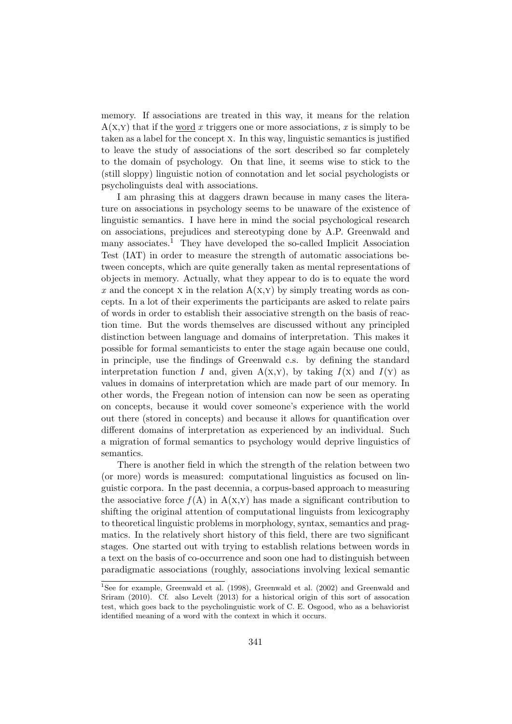memory. If associations are treated in this way, it means for the relation  $A(x,y)$  that if the word x triggers one or more associations, x is simply to be taken as a label for the concept x. In this way, linguistic semantics is justified to leave the study of associations of the sort described so far completely to the domain of psychology. On that line, it seems wise to stick to the (still sloppy) linguistic notion of connotation and let social psychologists or psycholinguists deal with associations.

I am phrasing this at daggers drawn because in many cases the literature on associations in psychology seems to be unaware of the existence of linguistic semantics. I have here in mind the social psychological research on associations, prejudices and stereotyping done by A.P. Greenwald and many associates.<sup>1</sup> They have developed the so-called Implicit Association Test (IAT) in order to measure the strength of automatic associations between concepts, which are quite generally taken as mental representations of objects in memory. Actually, what they appear to do is to equate the word x and the concept x in the relation  $A(x,y)$  by simply treating words as concepts. In a lot of their experiments the participants are asked to relate pairs of words in order to establish their associative strength on the basis of reaction time. But the words themselves are discussed without any principled distinction between language and domains of interpretation. This makes it possible for formal semanticists to enter the stage again because one could, in principle, use the findings of Greenwald c.s. by defining the standard interpretation function I and, given  $A(x,y)$ , by taking  $I(x)$  and  $I(y)$  as values in domains of interpretation which are made part of our memory. In other words, the Fregean notion of intension can now be seen as operating on concepts, because it would cover someone's experience with the world out there (stored in concepts) and because it allows for quantification over different domains of interpretation as experienced by an individual. Such a migration of formal semantics to psychology would deprive linguistics of semantics.

There is another field in which the strength of the relation between two (or more) words is measured: computational linguistics as focused on linguistic corpora. In the past decennia, a corpus-based approach to measuring the associative force  $f(A)$  in  $A(x,y)$  has made a significant contribution to shifting the original attention of computational linguists from lexicography to theoretical linguistic problems in morphology, syntax, semantics and pragmatics. In the relatively short history of this field, there are two significant stages. One started out with trying to establish relations between words in a text on the basis of co-occurrence and soon one had to distinguish between paradigmatic associations (roughly, associations involving lexical semantic

<sup>&</sup>lt;sup>1</sup>See for example, Greenwald et al. (1998), Greenwald et al. (2002) and Greenwald and Sriram (2010). Cf. also Levelt (2013) for a historical origin of this sort of assocation test, which goes back to the psycholinguistic work of C. E. Osgood, who as a behaviorist identified meaning of a word with the context in which it occurs.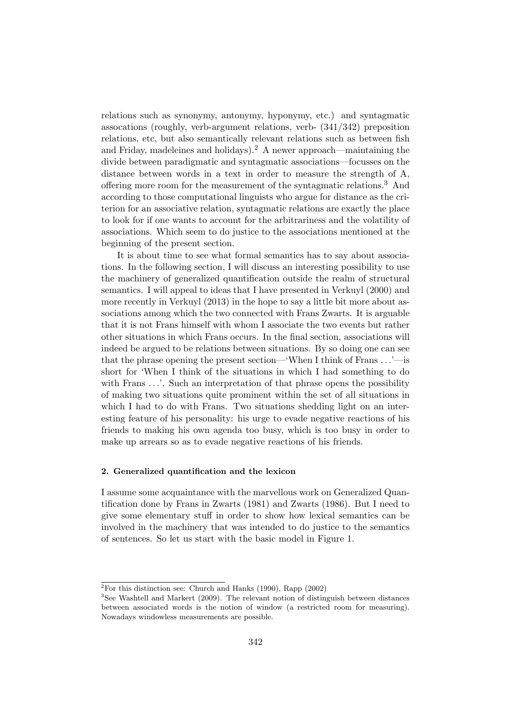relations such as synonymy, antonymy, hyponymy, etc.) and syntagmatic assocations (roughly, verb-argument relations, verb- (341/342) preposition relations, etc, but also semantically relevant relations such as between fish and Friday, madeleines and holidays).<sup>2</sup> A newer approach—maintaining the divide between paradigmatic and syntagmatic associations—focusses on the distance between words in a text in order to measure the strength of A, offering more room for the measurement of the syntagmatic relations.<sup>3</sup> And according to those computational linguists who argue for distance as the criterion for an associative relation, syntagmatic relations are exactly the place to look for if one wants to account for the arbitrariness and the volatility of associations. Which seem to do justice to the associations mentioned at the beginning of the present section.

It is about time to see what formal semantics has to say about associations. In the following section, I will discuss an interesting possibility to use the machinery of generalized quantification outside the realm of structural semantics. I will appeal to ideas that I have presented in Verkuyl (2000) and more recently in Verkuyl (2013) in the hope to say a little bit more about associations among which the two connected with Frans Zwarts. It is arguable that it is not Frans himself with whom I associate the two events but rather other situations in which Frans occurs. In the final section, associations will indeed be argued to be relations between situations. By so doing one can see that the phrase opening the present section—'When I think of Frans . . .'—is short for 'When I think of the situations in which I had something to do with Frans ...'. Such an interpretation of that phrase opens the possibility of making two situations quite prominent within the set of all situations in which I had to do with Frans. Two situations shedding light on an interesting feature of his personality: his urge to evade negative reactions of his friends to making his own agenda too busy, which is too busy in order to make up arrears so as to evade negative reactions of his friends.

## 2. Generalized quantification and the lexicon

I assume some acquaintance with the marvellous work on Generalized Quantification done by Frans in Zwarts (1981) and Zwarts (1986). But I need to give some elementary stuff in order to show how lexical semantics can be involved in the machinery that was intended to do justice to the semantics of sentences. So let us start with the basic model in Figure 1.

 $2\overline{P_{\text{O}}$  this distinction see: Church and Hanks (1990), Rapp (2002)

<sup>&</sup>lt;sup>3</sup>See Washtell and Markert (2009). The relevant notion of distinguish between distances between associated words is the notion of window (a restricted room for measuring). Nowadays windowless measurements are possible.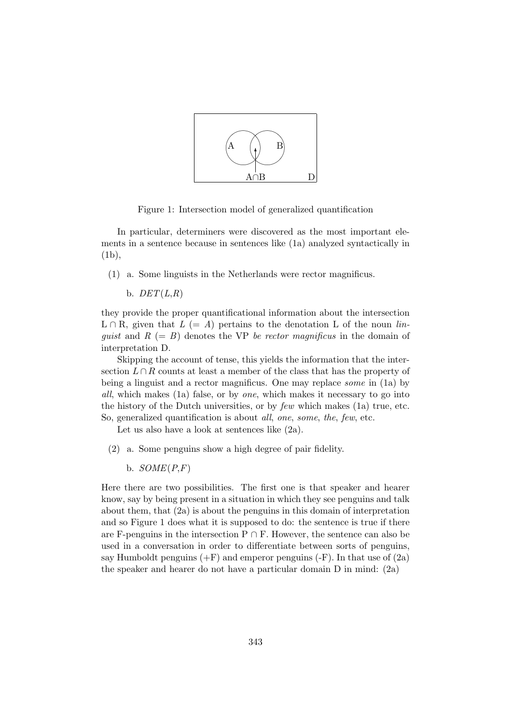

Figure 1: Intersection model of generalized quantification

In particular, determiners were discovered as the most important elements in a sentence because in sentences like (1a) analyzed syntactically in (1b),

(1) a. Some linguists in the Netherlands were rector magnificus.

b.  $DET(L,R)$ 

they provide the proper quantificational information about the intersection  $L \cap R$ , given that  $L (= A)$  pertains to the denotation L of the noun linquist and  $R (= B)$  denotes the VP be rector magnificus in the domain of interpretation D.

Skipping the account of tense, this yields the information that the intersection  $L \cap R$  counts at least a member of the class that has the property of being a linguist and a rector magnificus. One may replace some in (1a) by all, which makes (1a) false, or by one, which makes it necessary to go into the history of the Dutch universities, or by few which makes (1a) true, etc. So, generalized quantification is about all, one, some, the, few, etc.

Let us also have a look at sentences like (2a).

- (2) a. Some penguins show a high degree of pair fidelity.
	- b.  $SOME(P,F)$

Here there are two possibilities. The first one is that speaker and hearer know, say by being present in a situation in which they see penguins and talk about them, that (2a) is about the penguins in this domain of interpretation and so Figure 1 does what it is supposed to do: the sentence is true if there are F-penguins in the intersection  $P \cap F$ . However, the sentence can also be used in a conversation in order to differentiate between sorts of penguins, say Humboldt penguins  $(+F)$  and emperor penguins  $(-F)$ . In that use of  $(2a)$ the speaker and hearer do not have a particular domain D in mind: (2a)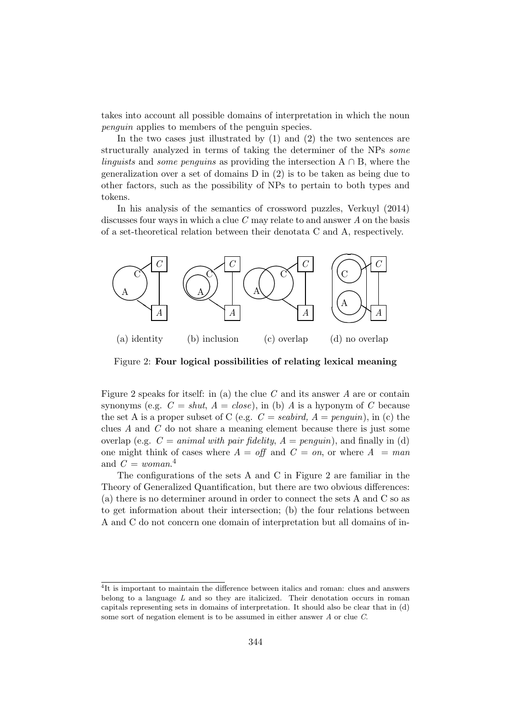takes into account all possible domains of interpretation in which the noun penguin applies to members of the penguin species.

In the two cases just illustrated by (1) and (2) the two sentences are structurally analyzed in terms of taking the determiner of the NPs some linguists and some penguins as providing the intersection  $A \cap B$ , where the generalization over a set of domains D in (2) is to be taken as being due to other factors, such as the possibility of NPs to pertain to both types and tokens.

In his analysis of the semantics of crossword puzzles, Verkuyl (2014) discusses four ways in which a clue  $C$  may relate to and answer  $A$  on the basis of a set-theoretical relation between their denotata C and A, respectively.



Figure 2: Four logical possibilities of relating lexical meaning

Figure 2 speaks for itself: in (a) the clue  $C$  and its answer  $A$  are or contain synonyms (e.g.  $C = shut, A = close$ ), in (b) A is a hyponym of C because the set A is a proper subset of C (e.g.  $C =$  seabird,  $A =$  penguin), in (c) the clues  $A$  and  $C$  do not share a meaning element because there is just some overlap (e.g.  $C = animal with pair fidelity, A = penguin$ ), and finally in (d) one might think of cases where  $A = \text{off}$  and  $C = \text{on}$ , or where  $A = \text{man}$ and  $C = woman^{4}$ 

The configurations of the sets A and C in Figure 2 are familiar in the Theory of Generalized Quantification, but there are two obvious differences: (a) there is no determiner around in order to connect the sets A and C so as to get information about their intersection; (b) the four relations between A and C do not concern one domain of interpretation but all domains of in-

<sup>&</sup>lt;sup>4</sup>It is important to maintain the difference between italics and roman: clues and answers belong to a language  $L$  and so they are italicized. Their denotation occurs in roman capitals representing sets in domains of interpretation. It should also be clear that in (d) some sort of negation element is to be assumed in either answer A or clue C.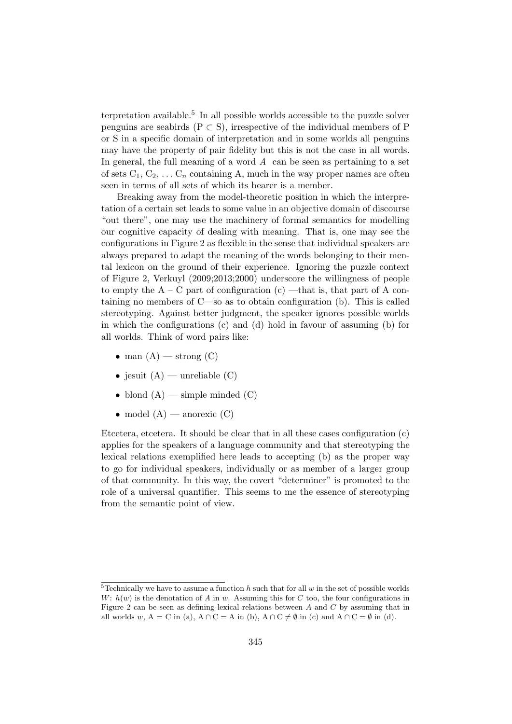terpretation available.<sup>5</sup> In all possible worlds accessible to the puzzle solver penguins are seabirds ( $P \subset S$ ), irrespective of the individual members of P or S in a specific domain of interpretation and in some worlds all penguins may have the property of pair fidelity but this is not the case in all words. In general, the full meaning of a word  $A$  can be seen as pertaining to a set of sets  $C_1, C_2, \ldots C_n$  containing A, much in the way proper names are often seen in terms of all sets of which its bearer is a member.

Breaking away from the model-theoretic position in which the interpretation of a certain set leads to some value in an objective domain of discourse "out there", one may use the machinery of formal semantics for modelling our cognitive capacity of dealing with meaning. That is, one may see the configurations in Figure 2 as flexible in the sense that individual speakers are always prepared to adapt the meaning of the words belonging to their mental lexicon on the ground of their experience. Ignoring the puzzle context of Figure 2, Verkuyl (2009;2013;2000) underscore the willingness of people to empty the  $A - C$  part of configuration (c) —that is, that part of A containing no members of C—so as to obtain configuration (b). This is called stereotyping. Against better judgment, the speaker ignores possible worlds in which the configurations  $(c)$  and  $(d)$  hold in favour of assuming  $(b)$  for all worlds. Think of word pairs like:

- man  $(A)$  strong  $(C)$
- jesuit  $(A)$  unreliable  $(C)$
- blond  $(A)$  simple minded  $(C)$
- model  $(A)$  anorexic  $(C)$

Etcetera, etcetera. It should be clear that in all these cases configuration (c) applies for the speakers of a language community and that stereotyping the lexical relations exemplified here leads to accepting (b) as the proper way to go for individual speakers, individually or as member of a larger group of that community. In this way, the covert "determiner" is promoted to the role of a universal quantifier. This seems to me the essence of stereotyping from the semantic point of view.

<sup>&</sup>lt;sup>5</sup>Technically we have to assume a function  $h$  such that for all  $w$  in the set of possible worlds W:  $h(w)$  is the denotation of A in w. Assuming this for C too, the four configurations in Figure 2 can be seen as defining lexical relations between  $A$  and  $C$  by assuming that in all worlds w, A = C in (a), A ∩ C = A in (b), A ∩ C  $\neq \emptyset$  in (c) and A ∩ C =  $\emptyset$  in (d).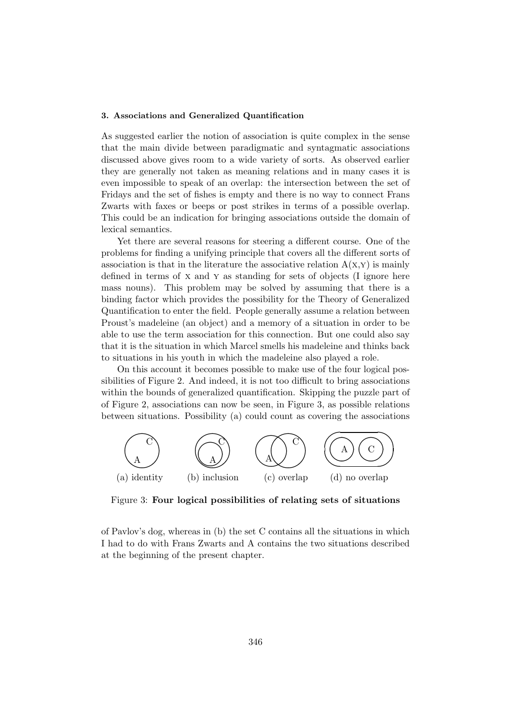## 3. Associations and Generalized Quantification

As suggested earlier the notion of association is quite complex in the sense that the main divide between paradigmatic and syntagmatic associations discussed above gives room to a wide variety of sorts. As observed earlier they are generally not taken as meaning relations and in many cases it is even impossible to speak of an overlap: the intersection between the set of Fridays and the set of fishes is empty and there is no way to connect Frans Zwarts with faxes or beeps or post strikes in terms of a possible overlap. This could be an indication for bringing associations outside the domain of lexical semantics.

Yet there are several reasons for steering a different course. One of the problems for finding a unifying principle that covers all the different sorts of association is that in the literature the associative relation  $A(x,y)$  is mainly defined in terms of x and y as standing for sets of objects (I ignore here mass nouns). This problem may be solved by assuming that there is a binding factor which provides the possibility for the Theory of Generalized Quantification to enter the field. People generally assume a relation between Proust's madeleine (an object) and a memory of a situation in order to be able to use the term association for this connection. But one could also say that it is the situation in which Marcel smells his madeleine and thinks back to situations in his youth in which the madeleine also played a role.

On this account it becomes possible to make use of the four logical possibilities of Figure 2. And indeed, it is not too difficult to bring associations within the bounds of generalized quantification. Skipping the puzzle part of of Figure 2, associations can now be seen, in Figure 3, as possible relations between situations. Possibility (a) could count as covering the associations



Figure 3: Four logical possibilities of relating sets of situations

of Pavlov's dog, whereas in (b) the set C contains all the situations in which I had to do with Frans Zwarts and A contains the two situations described at the beginning of the present chapter.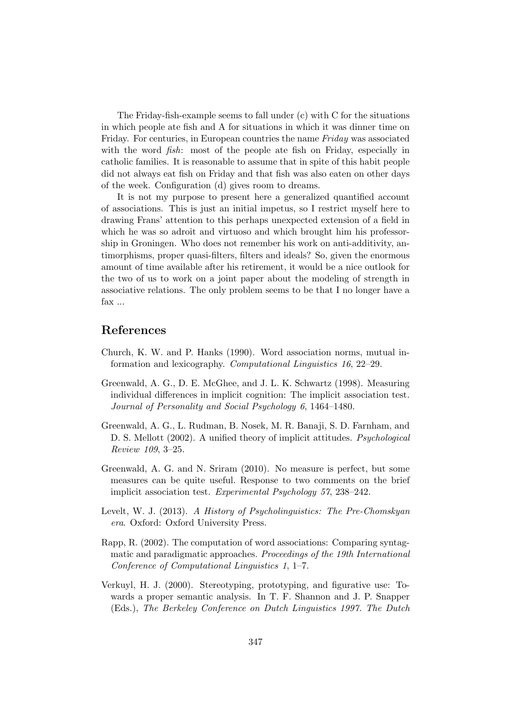The Friday-fish-example seems to fall under (c) with C for the situations in which people ate fish and A for situations in which it was dinner time on Friday. For centuries, in European countries the name Friday was associated with the word *fish*: most of the people ate fish on Friday, especially in catholic families. It is reasonable to assume that in spite of this habit people did not always eat fish on Friday and that fish was also eaten on other days of the week. Configuration (d) gives room to dreams.

It is not my purpose to present here a generalized quantified account of associations. This is just an initial impetus, so I restrict myself here to drawing Frans' attention to this perhaps unexpected extension of a field in which he was so adroit and virtuoso and which brought him his professorship in Groningen. Who does not remember his work on anti-additivity, antimorphisms, proper quasi-filters, filters and ideals? So, given the enormous amount of time available after his retirement, it would be a nice outlook for the two of us to work on a joint paper about the modeling of strength in associative relations. The only problem seems to be that I no longer have a fax ...

# References

- Church, K. W. and P. Hanks (1990). Word association norms, mutual information and lexicography. Computational Linguistics 16, 22–29.
- Greenwald, A. G., D. E. McGhee, and J. L. K. Schwartz (1998). Measuring individual differences in implicit cognition: The implicit association test. Journal of Personality and Social Psychology 6, 1464–1480.
- Greenwald, A. G., L. Rudman, B. Nosek, M. R. Banaji, S. D. Farnham, and D. S. Mellott (2002). A unified theory of implicit attitudes. Psychological Review 109, 3–25.
- Greenwald, A. G. and N. Sriram (2010). No measure is perfect, but some measures can be quite useful. Response to two comments on the brief implicit association test. Experimental Psychology 57, 238–242.
- Levelt, W. J. (2013). A History of Psycholinguistics: The Pre-Chomskyan era. Oxford: Oxford University Press.
- Rapp, R. (2002). The computation of word associations: Comparing syntagmatic and paradigmatic approaches. Proceedings of the 19th International Conference of Computational Linguistics 1, 1–7.
- Verkuyl, H. J. (2000). Stereotyping, prototyping, and figurative use: Towards a proper semantic analysis. In T. F. Shannon and J. P. Snapper (Eds.), The Berkeley Conference on Dutch Linguistics 1997. The Dutch